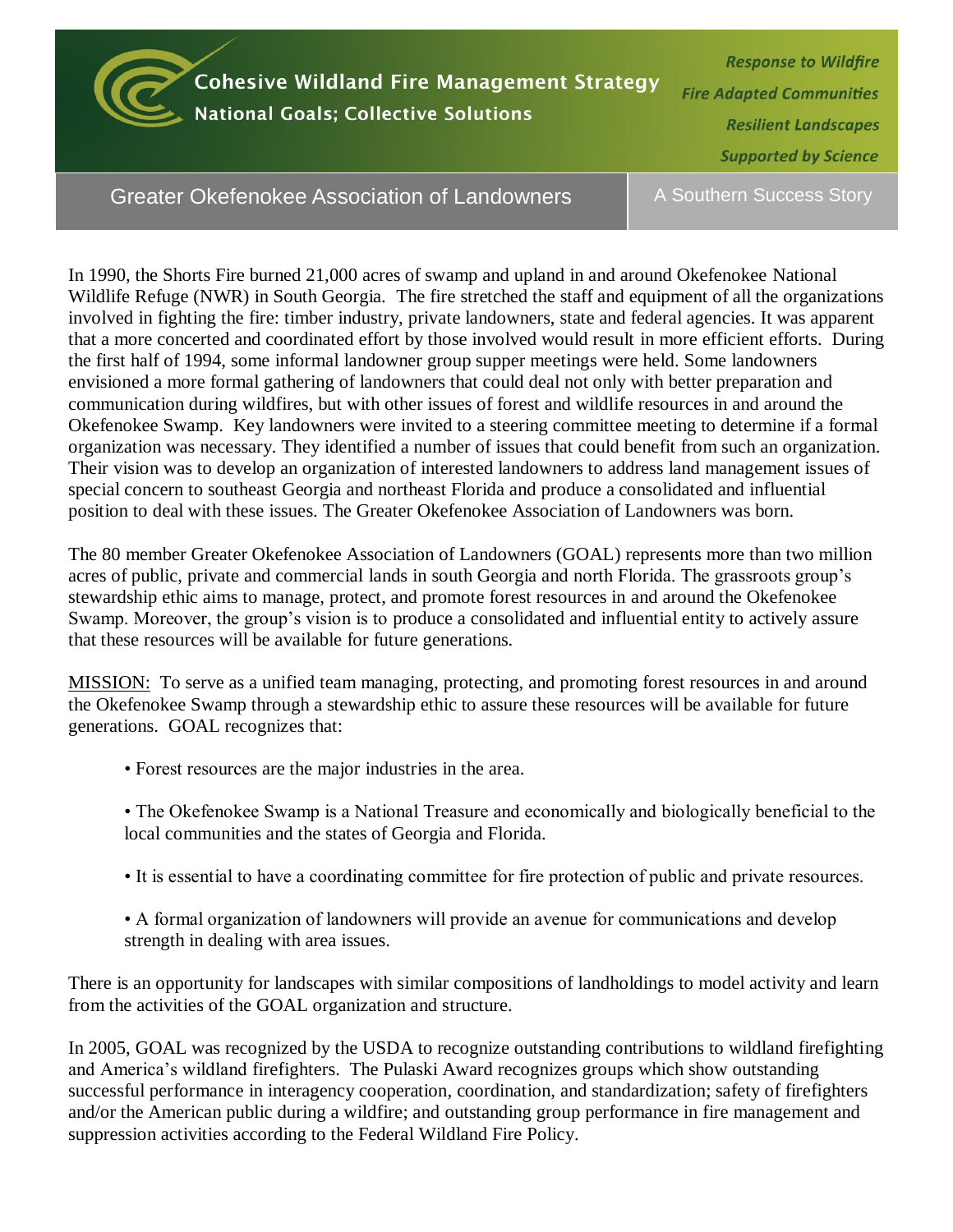

**Cohesive Wildland Fire Management Strategy National Goals; Collective Solutions** 

**Response to Wildfire Fire Adapted Communities Resilient Landscapes Supported by Science** 

Greater Okefenokee Association of Landowners

A Southern Success Story

In 1990, the Shorts Fire burned 21,000 acres of swamp and upland in and around Okefenokee National Wildlife Refuge (NWR) in South Georgia. The fire stretched the staff and equipment of all the organizations involved in fighting the fire: timber industry, private landowners, state and federal agencies. It was apparent that a more concerted and coordinated effort by those involved would result in more efficient efforts. During the first half of 1994, some informal landowner group supper meetings were held. Some landowners envisioned a more formal gathering of landowners that could deal not only with better preparation and communication during wildfires, but with other issues of forest and wildlife resources in and around the Okefenokee Swamp. Key landowners were invited to a steering committee meeting to determine if a formal organization was necessary. They identified a number of issues that could benefit from such an organization. Their vision was to develop an organization of interested landowners to address land management issues of special concern to southeast Georgia and northeast Florida and produce a consolidated and influential position to deal with these issues. The Greater Okefenokee Association of Landowners was born.

The 80 member Greater Okefenokee Association of Landowners (GOAL) represents more than two million acres of public, private and commercial lands in south Georgia and north Florida. The grassroots group's stewardship ethic aims to manage, protect, and promote forest resources in and around the Okefenokee Swamp. Moreover, the group's vision is to produce a consolidated and influential entity to actively assure that these resources will be available for future generations.

MISSION: To serve as a unified team managing, protecting, and promoting forest resources in and around the Okefenokee Swamp through a stewardship ethic to assure these resources will be available for future generations. GOAL recognizes that:

- Forest resources are the major industries in the area.
- The Okefenokee Swamp is a National Treasure and economically and biologically beneficial to the local communities and the states of Georgia and Florida.
- It is essential to have a coordinating committee for fire protection of public and private resources.
- A formal organization of landowners will provide an avenue for communications and develop strength in dealing with area issues.

There is an opportunity for landscapes with similar compositions of landholdings to model activity and learn from the activities of the GOAL organization and structure.

In 2005, GOAL was recognized by the USDA to recognize outstanding contributions to wildland firefighting and America's wildland firefighters. The Pulaski Award recognizes groups which show outstanding successful performance in interagency cooperation, coordination, and standardization; safety of firefighters and/or the American public during a wildfire; and outstanding group performance in fire management and suppression activities according to the Federal Wildland Fire Policy.